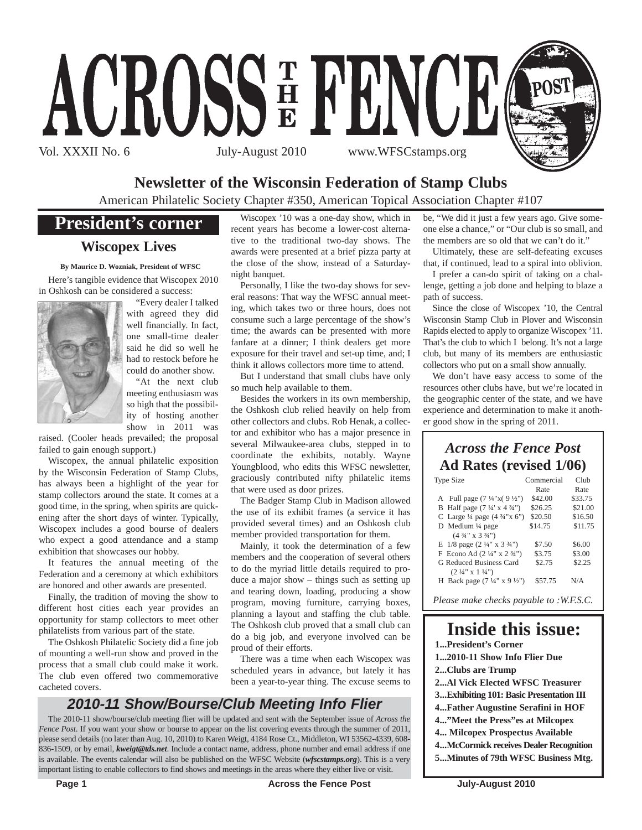

## **Newsletter of the Wisconsin Federation of Stamp Clubs**

American Philatelic Society Chapter #350, American Topical Association Chapter #107

## **President's corner**

### **Wiscopex Lives**

**By Maurice D. Wozniak, President of WFSC**

Here's tangible evidence that Wiscopex 2010 in Oshkosh can be considered a success:



"Every dealer I talked with agreed they did well financially. In fact, one small-time dealer said he did so well he had to restock before he could do another show.

"At the next club meeting enthusiasm was so high that the possibility of hosting another show in 2011 was

raised. (Cooler heads prevailed; the proposal failed to gain enough support.)

Wiscopex, the annual philatelic exposition by the Wisconsin Federation of Stamp Clubs, has always been a highlight of the year for stamp collectors around the state. It comes at a good time, in the spring, when spirits are quickening after the short days of winter. Typically, Wiscopex includes a good bourse of dealers who expect a good attendance and a stamp exhibition that showcases our hobby.

It features the annual meeting of the Federation and a ceremony at which exhibitors are honored and other awards are presented.

Finally, the tradition of moving the show to different host cities each year provides an opportunity for stamp collectors to meet other philatelists from various part of the state.

The Oshkosh Philatelic Society did a fine job of mounting a well-run show and proved in the process that a small club could make it work. The club even offered two commemorative cacheted covers.

Wiscopex '10 was a one-day show, which in recent years has become a lower-cost alternative to the traditional two-day shows. The awards were presented at a brief pizza party at the close of the show, instead of a Saturdaynight banquet.

Personally, I like the two-day shows for several reasons: That way the WFSC annual meeting, which takes two or three hours, does not consume such a large percentage of the show's time; the awards can be presented with more fanfare at a dinner; I think dealers get more exposure for their travel and set-up time, and; I think it allows collectors more time to attend.

But I understand that small clubs have only so much help available to them.

Besides the workers in its own membership, the Oshkosh club relied heavily on help from other collectors and clubs. Rob Henak, a collector and exhibitor who has a major presence in several Milwaukee-area clubs, stepped in to coordinate the exhibits, notably. Wayne Youngblood, who edits this WFSC newsletter, graciously contributed nifty philatelic items that were used as door prizes.

The Badger Stamp Club in Madison allowed the use of its exhibit frames (a service it has provided several times) and an Oshkosh club member provided transportation for them.

Mainly, it took the determination of a few members and the cooperation of several others to do the myriad little details required to produce a major show – things such as setting up and tearing down, loading, producing a show program, moving furniture, carrying boxes, planning a layout and staffing the club table. The Oshkosh club proved that a small club can do a big job, and everyone involved can be proud of their efforts.

There was a time when each Wiscopex was scheduled years in advance, but lately it has been a year-to-year thing. The excuse seems to

## *2010-11 Show/Bourse/Club Meeting Info Flier*

The 2010-11 show/bourse/club meeting flier will be updated and sent with the September issue of *Across the Fence Post.* If you want your show or bourse to appear on the list covering events through the summer of 2011, please send details (no later than Aug. 10, 2010) to Karen Weigt, 4184 Rose Ct., Middleton, WI 53562-4339, 608- 836-1509, or by email, *kweigt@tds.net*. Include a contact name, address, phone number and email address if one is available. The events calendar will also be published on the WFSC Website (*wfscstamps.org*). This is a very important listing to enable collectors to find shows and meetings in the areas where they either live or visit.

be, "We did it just a few years ago. Give someone else a chance," or "Our club is so small, and the members are so old that we can't do it."

Ultimately, these are self-defeating excuses that, if continued, lead to a spiral into oblivion.

I prefer a can-do spirit of taking on a challenge, getting a job done and helping to blaze a path of success.

Since the close of Wiscopex '10, the Central Wisconsin Stamp Club in Plover and Wisconsin Rapids elected to apply to organize Wiscopex '11. That's the club to which I belong. It's not a large club, but many of its members are enthusiastic collectors who put on a small show annually.

We don't have easy access to some of the resources other clubs have, but we're located in the geographic center of the state, and we have experience and determination to make it another good show in the spring of 2011.

### *Across the Fence Post* **Ad Rates (revised 1/06)**

| Type Size                                           | Commercial | Club    |
|-----------------------------------------------------|------------|---------|
|                                                     | Rate       | Rate    |
| A Full page $(7\frac{1}{4}x(9\frac{1}{2}y))$        | \$42.00    | \$33.75 |
| B Half page $(7\frac{1}{4} \times 4\frac{3}{4})$    | \$26.25    | \$21.00 |
| C Large $\frac{1}{4}$ page $(4 \frac{3}{4} x)$ (5") | \$20.50    | \$16.50 |
| D Medium $\frac{1}{4}$ page                         | \$14.75    | \$11.75 |
| $(4\frac{3}{4}$ " x 3 $\frac{3}{4}$ ")              |            |         |
| E $1/8$ page $(2\frac{1}{4}$ " x $3\frac{3}{4}$ ")  | \$7.50     | \$6.00  |
| F Econo Ad $(2\frac{1}{4}$ " x $2\frac{3}{4}$ ")    | \$3.75     | \$3.00  |
| G Reduced Business Card                             | \$2.75     | \$2.25  |
| $(2 \frac{1}{4}$ " x 1 $\frac{1}{4}$ ")             |            |         |
| H Back page $(7\frac{1}{4}$ " x 9 $\frac{1}{2}$ ")  | \$57.75    | N/A     |
|                                                     |            |         |

*Please make checks payable to :W.F.S.C.*

## **Inside this issue:**

- **1...President's Corner**
- **1...2010-11 Show Info Flier Due**
- **2...Clubs are Trump**
- **2...Al Vick Elected WFSC Treasurer**
- **3...Exhibiting 101: Basic Presentation III**
- **4...Father Augustine Serafini in HOF**
- **4..."Meet the Press"es at Milcopex**
- **4... Milcopex Prospectus Available**
- **4...McCormick receives Dealer Recognition 5...Minutes of 79th WFSC Business Mtg.**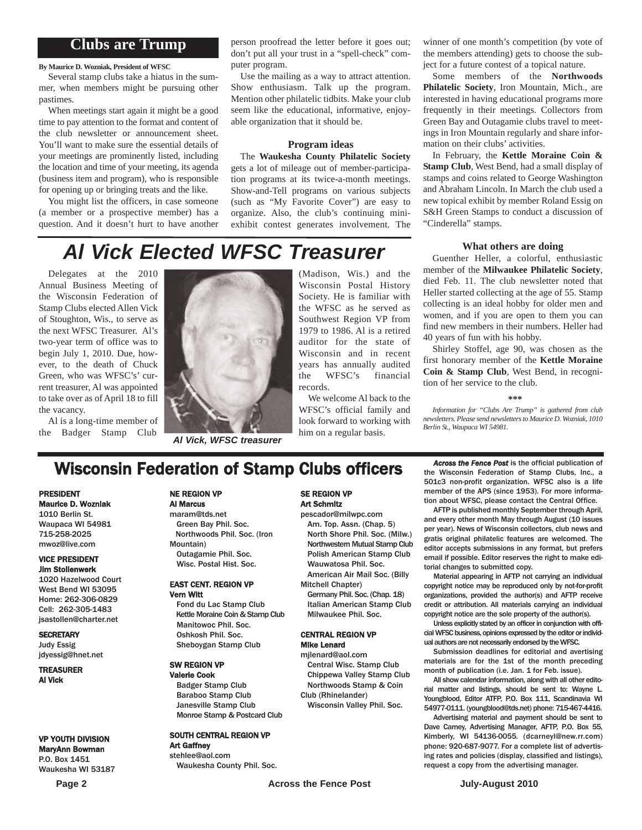### **Clubs are Trump**

**By Maurice D. Wozniak, President of WFSC**

Several stamp clubs take a hiatus in the summer, when members might be pursuing other pastimes.

When meetings start again it might be a good time to pay attention to the format and content of the club newsletter or announcement sheet. You'll want to make sure the essential details of your meetings are prominently listed, including the location and time of your meeting, its agenda (business item and program), who is responsible for opening up or bringing treats and the like.

You might list the officers, in case someone (a member or a prospective member) has a question. And it doesn't hurt to have another

person proofread the letter before it goes out; don't put all your trust in a "spell-check" computer program.

Use the mailing as a way to attract attention. Show enthusiasm. Talk up the program. Mention other philatelic tidbits. Make your club seem like the educational, informative, enjoyable organization that it should be.

#### **Program ideas**

The **Waukesha County Philatelic Society** gets a lot of mileage out of member-participation programs at its twice-a-month meetings. Show-and-Tell programs on various subjects (such as "My Favorite Cover") are easy to organize. Also, the club's continuing miniexhibit contest generates involvement. The winner of one month's competition (by vote of the members attending) gets to choose the subject for a future contest of a topical nature.

Some members of the **Northwoods Philatelic Society**, Iron Mountain, Mich., are interested in having educational programs more frequently in their meetings. Collectors from Green Bay and Outagamie clubs travel to meetings in Iron Mountain regularly and share information on their clubs' activities.

In February, the **Kettle Moraine Coin & Stamp Club**, West Bend, had a small display of stamps and coins related to George Washington and Abraham Lincoln. In March the club used a new topical exhibit by member Roland Essig on S&H Green Stamps to conduct a discussion of "Cinderella" stamps.

## *Al Vick Elected WFSC Treasurer*

Delegates at the 2010 Annual Business Meeting of the Wisconsin Federation of Stamp Clubs elected Allen Vick of Stoughton, Wis., to serve as the next WFSC Treasurer. Al's two-year term of office was to begin July 1, 2010. Due, however, to the death of Chuck Green, who was WFSC's' current treasurer, Al was appointed to take over as of April 18 to fill the vacancy.

Al is a long-time member of the Badger Stamp Club



*Al Vick, WFSC treasurer*

(Madison, Wis.) and the Wisconsin Postal History Society. He is familiar with the WFSC as he served as Southwest Region VP from 1979 to 1986. Al is a retired auditor for the state of Wisconsin and in recent years has annually audited the WFSC's financial records.

We welcome Al back to the WFSC's official family and look forward to working with him on a regular basis.

#### **What others are doing**

Guenther Heller, a colorful, enthusiastic member of the **Milwaukee Philatelic Society**, died Feb. 11. The club newsletter noted that Heller started collecting at the age of 55. Stamp collecting is an ideal hobby for older men and women, and if you are open to them you can find new members in their numbers. Heller had 40 years of fun with his hobby.

Shirley Stoffel, age 90, was chosen as the first honorary member of the **Kettle Moraine Coin & Stamp Club**, West Bend, in recognition of her service to the club.

#### **\*\*\***

*Information for "Clubs Are Trump" is gathered from club newsletters. Please send newsletters to Maurice D. Wozniak, 1010 Berlin St., Waupaca WI 54981.*

## **Wisconsin Federation of Stamp Clubs officers** *Across the Fence Post* is the official publication of **Stamp** Clubs, Inc., a

#### PRESIDENT Maurice D. Wozniak

1010 Berlin St. Waupaca WI 54981 715-258-2025 mwoz@live.com

#### VICE PRESIDENT Jim Stollenwerk

1020 Hazelwood Court West Bend WI 53095 Home: 262-306-0829 Cell: 262-305-1483 jsastollen@charter.net

#### **SECRETARY**

Judy Essig jdyessig@hnet.net

TREASURER Al Vick

### VP YOUTH DIVISION

MaryAnn Bowman P.O. Box 1451 Waukesha WI 53187

### NE REGION VP

Al Marcus

maram@tds.net Green Bay Phil. Soc. Northwoods Phil. Soc. (Iron Mountain) Outagamie Phil. Soc.

## Wisc. Postal Hist. Soc. EAST CENT. REGION VP

Vern Witt Fond du Lac Stamp Club Kettle Moraine Coin & Stamp Club Manitowoc Phil. Soc. Oshkosh Phil. Soc. Sheboygan Stamp Club

#### SW REGION VP Valerie Cook

Badger Stamp Club Baraboo Stamp Club Janesville Stamp Club Monroe Stamp & Postcard Club

#### SOUTH CENTRAL REGION VP Art Gaffney

stehlee@aol.com Waukesha County Phil. Soc.

#### SE REGION VP Art Schmitz

pescador@milwpc.com Am. Top. Assn. (Chap. 5) North Shore Phil. Soc. (Milw.) Northwestern Mutual Stamp Club Polish American Stamp Club Wauwatosa Phil. Soc. American Air Mail Soc. (Billy

Mitchell Chapter)

Germany Phil. Soc. (Chap. 18) Italian American Stamp Club Milwaukee Phil. Soc.

#### CENTRAL REGION VP Mike Lenard

mjlenard@aol.com Central Wisc. Stamp Club Chippewa Valley Stamp Club Northwoods Stamp & Coin Club (Rhinelander)

Wisconsin Valley Phil. Soc.

the Wisconsin Federation of Stamp Clubs, Inc., a 501c3 non-profit organization. WFSC also is a life member of the APS (since 1953). For more information about WFSC, please contact the Central Office.

AFTP is published monthly September through April, and every other month May through August (10 issues per year). News of Wisconsin collectors, club news and gratis original philatelic features are welcomed. The editor accepts submissions in any format, but prefers email if possible. Editor reserves the right to make editorial changes to submitted copy.

Material appearing in AFTP not carrying an individual copyright notice may be reproduced only by not-for-profit organizations, provided the author(s) and AFTP receive credit or attribution. All materials carrying an individual copyright notice are the sole property of the author(s).

Unless explicitly stated by an officer in conjunction with official WFSC business, opinions expressed by the editor or individual authors are not necessarily endorsed by the WFSC.

Submission deadlines for editorial and avertising materials are for the 1st of the month preceding month of publication (i.e. Jan. 1 for Feb. issue).

All show calendar information, along with all other editorial matter and listings, should be sent to: Wayne L. Youngblood, Editor ATFP, P.O. Box 111, Scandinavia WI 54977-0111. (youngblood@tds.net) phone: 715-467-4416.

Advertising material and payment should be sent to Dave Carney, Advertising Manager, AFTP, P.O. Box 55, Kimberly, WI 54136-0055. (dcarneyl@new.rr.com) phone: 920-687-9077. For a complete list of advertising rates and policies (display, classified and listings), request a copy from the advertising manager.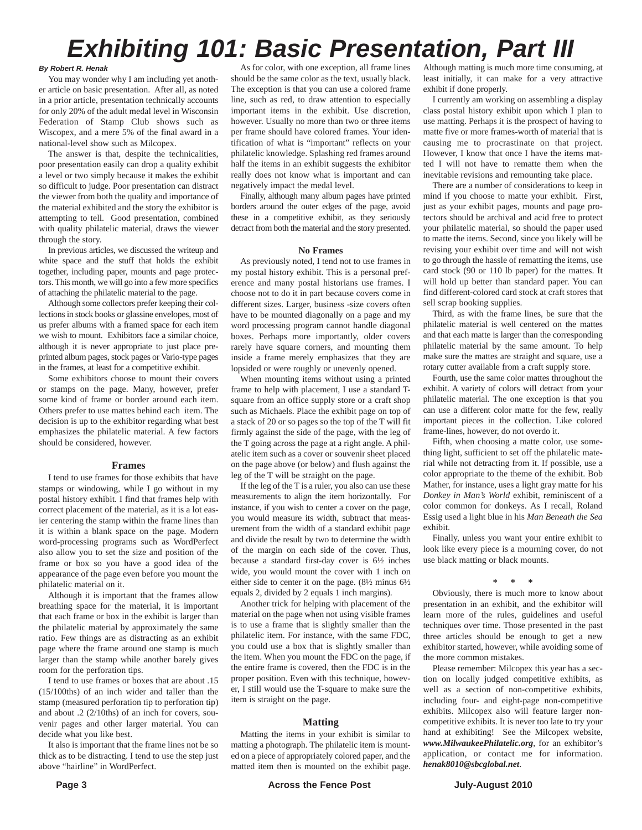## *Exhibiting 101: Basic Presentation, Part III*

#### *By Robert R. Henak*

You may wonder why I am including yet another article on basic presentation. After all, as noted in a prior article, presentation technically accounts for only 20% of the adult medal level in Wisconsin Federation of Stamp Club shows such as Wiscopex, and a mere 5% of the final award in a national-level show such as Milcopex.

The answer is that, despite the technicalities, poor presentation easily can drop a quality exhibit a level or two simply because it makes the exhibit so difficult to judge. Poor presentation can distract the viewer from both the quality and importance of the material exhibited and the story the exhibitor is attempting to tell. Good presentation, combined with quality philatelic material, draws the viewer through the story.

In previous articles, we discussed the writeup and white space and the stuff that holds the exhibit together, including paper, mounts and page protectors. This month, we will go into a few more specifics of attaching the philatelic material to the page.

Although some collectors prefer keeping their collections in stock books or glassine envelopes, most of us prefer albums with a framed space for each item we wish to mount. Exhibitors face a similar choice, although it is never appropriate to just place preprinted album pages, stock pages or Vario-type pages in the frames, at least for a competitive exhibit.

Some exhibitors choose to mount their covers or stamps on the page. Many, however, prefer some kind of frame or border around each item. Others prefer to use mattes behind each item. The decision is up to the exhibitor regarding what best emphasizes the philatelic material. A few factors should be considered, however.

#### **Frames**

I tend to use frames for those exhibits that have stamps or windowing, while I go without in my postal history exhibit. I find that frames help with correct placement of the material, as it is a lot easier centering the stamp within the frame lines than it is within a blank space on the page. Modern word-processing programs such as WordPerfect also allow you to set the size and position of the frame or box so you have a good idea of the appearance of the page even before you mount the philatelic material on it.

Although it is important that the frames allow breathing space for the material, it is important that each frame or box in the exhibit is larger than the philatelic material by approximately the same ratio. Few things are as distracting as an exhibit page where the frame around one stamp is much larger than the stamp while another barely gives room for the perforation tips.

I tend to use frames or boxes that are about .15 (15/100ths) of an inch wider and taller than the stamp (measured perforation tip to perforation tip) and about .2 (2/10ths) of an inch for covers, souvenir pages and other larger material. You can decide what you like best.

It also is important that the frame lines not be so thick as to be distracting. I tend to use the step just above "hairline" in WordPerfect.

As for color, with one exception, all frame lines should be the same color as the text, usually black. The exception is that you can use a colored frame line, such as red, to draw attention to especially important items in the exhibit. Use discretion, however. Usually no more than two or three items per frame should have colored frames. Your identification of what is "important" reflects on your philatelic knowledge. Splashing red frames around half the items in an exhibit suggests the exhibitor really does not know what is important and can negatively impact the medal level.

Finally, although many album pages have printed borders around the outer edges of the page, avoid these in a competitive exhibit, as they seriously detract from both the material and the story presented.

#### **No Frames**

As previously noted, I tend not to use frames in my postal history exhibit. This is a personal preference and many postal historians use frames. I choose not to do it in part because covers come in different sizes. Larger, business -size covers often have to be mounted diagonally on a page and my word processing program cannot handle diagonal boxes. Perhaps more importantly, older covers rarely have square corners, and mounting them inside a frame merely emphasizes that they are lopsided or were roughly or unevenly opened.

When mounting items without using a printed frame to help with placement, I use a standard Tsquare from an office supply store or a craft shop such as Michaels. Place the exhibit page on top of a stack of 20 or so pages so the top of the T will fit firmly against the side of the page, with the leg of the T going across the page at a right angle. A philatelic item such as a cover or souvenir sheet placed on the page above (or below) and flush against the leg of the T will be straight on the page.

If the leg of the T is a ruler, you also can use these measurements to align the item horizontally. For instance, if you wish to center a cover on the page, you would measure its width, subtract that measurement from the width of a standard exhibit page and divide the result by two to determine the width of the margin on each side of the cover. Thus, because a standard first-day cover is 6½ inches wide, you would mount the cover with 1 inch on either side to center it on the page. (8½ minus 6½ equals 2, divided by 2 equals 1 inch margins).

Another trick for helping with placement of the material on the page when not using visible frames is to use a frame that is slightly smaller than the philatelic item. For instance, with the same FDC, you could use a box that is slightly smaller than the item. When you mount the FDC on the page, if the entire frame is covered, then the FDC is in the proper position. Even with this technique, however, I still would use the T-square to make sure the item is straight on the page.

#### **Matting**

Matting the items in your exhibit is similar to matting a photograph. The philatelic item is mounted on a piece of appropriately colored paper, and the matted item then is mounted on the exhibit page.

Although matting is much more time consuming, at least initially, it can make for a very attractive exhibit if done properly.

I currently am working on assembling a display class postal history exhibit upon which I plan to use matting. Perhaps it is the prospect of having to matte five or more frames-worth of material that is causing me to procrastinate on that project. However, I know that once I have the items matted I will not have to rematte them when the inevitable revisions and remounting take place.

There are a number of considerations to keep in mind if you choose to matte your exhibit. First, just as your exhibit pages, mounts and page protectors should be archival and acid free to protect your philatelic material, so should the paper used to matte the items. Second, since you likely will be revising your exhibit over time and will not wish to go through the hassle of rematting the items, use card stock (90 or 110 lb paper) for the mattes. It will hold up better than standard paper. You can find different-colored card stock at craft stores that sell scrap booking supplies.

Third, as with the frame lines, be sure that the philatelic material is well centered on the mattes and that each matte is larger than the corresponding philatelic material by the same amount. To help make sure the mattes are straight and square, use a rotary cutter available from a craft supply store.

Fourth, use the same color mattes throughout the exhibit. A variety of colors will detract from your philatelic material. The one exception is that you can use a different color matte for the few, really important pieces in the collection. Like colored frame-lines, however, do not overdo it.

Fifth, when choosing a matte color, use something light, sufficient to set off the philatelic material while not detracting from it. If possible, use a color appropriate to the theme of the exhibit. Bob Mather, for instance, uses a light gray matte for his *Donkey in Man's World* exhibit, reminiscent of a color common for donkeys. As I recall, Roland Essig used a light blue in his *Man Beneath the Sea* exhibit.

Finally, unless you want your entire exhibit to look like every piece is a mourning cover, do not use black matting or black mounts.

**\* \* \***

Obviously, there is much more to know about presentation in an exhibit, and the exhibitor will learn more of the rules, guidelines and useful techniques over time. Those presented in the past three articles should be enough to get a new exhibitor started, however, while avoiding some of the more common mistakes.

Please remember: Milcopex this year has a section on locally judged competitive exhibits, as well as a section of non-competitive exhibits, including four- and eight-page non-competitive exhibits. Milcopex also will feature larger noncompetitive exhibits. It is never too late to try your hand at exhibiting! See the Milcopex website, *www.MilwaukeePhilatelic.org*, for an exhibitor's application, or contact me for information. *henak8010@sbcglobal.net*.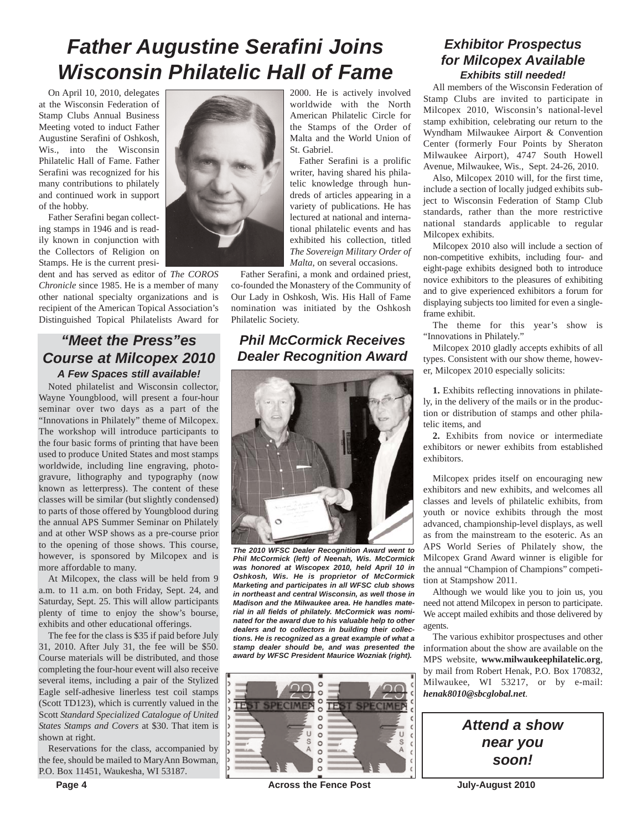## *Father Augustine Serafini Joins Wisconsin Philatelic Hall of Fame*

On April 10, 2010, delegates at the Wisconsin Federation of Stamp Clubs Annual Business Meeting voted to induct Father Augustine Serafini of Oshkosh, Wis., into the Wisconsin Philatelic Hall of Fame. Father Serafini was recognized for his many contributions to philately and continued work in support of the hobby.

Father Serafini began collecting stamps in 1946 and is readily known in conjunction with the Collectors of Religion on Stamps. He is the current presi-

dent and has served as editor of *The COROS Chronicle* since 1985. He is a member of many other national specialty organizations and is recipient of the American Topical Association's Distinguished Topical Philatelists Award for

## *"Meet the Press"es Course at Milcopex 2010 A Few Spaces still available!*

Noted philatelist and Wisconsin collector, Wayne Youngblood, will present a four-hour seminar over two days as a part of the "Innovations in Philately" theme of Milcopex. The workshop will introduce participants to the four basic forms of printing that have been used to produce United States and most stamps worldwide, including line engraving, photogravure, lithography and typography (now known as letterpress). The content of these classes will be similar (but slightly condensed) to parts of those offered by Youngblood during the annual APS Summer Seminar on Philately and at other WSP shows as a pre-course prior to the opening of those shows. This course, however, is sponsored by Milcopex and is more affordable to many.

At Milcopex, the class will be held from 9 a.m. to 11 a.m. on both Friday, Sept. 24, and Saturday, Sept. 25. This will allow participants plenty of time to enjoy the show's bourse, exhibits and other educational offerings.

The fee for the class is \$35 if paid before July 31, 2010. After July 31, the fee will be \$50. Course materials will be distributed, and those completing the four-hour event will also receive several items, including a pair of the Stylized Eagle self-adhesive linerless test coil stamps (Scott TD123), which is currently valued in the Scott *Standard Specialized Catalogue of United States Stamps and Covers* at \$30. That item is shown at right.

Reservations for the class, accompanied by the fee, should be mailed to MaryAnn Bowman, P.O. Box 11451, Waukesha, WI 53187.



2000. He is actively involved worldwide with the North American Philatelic Circle for the Stamps of the Order of Malta and the World Union of St. Gabriel.

Father Serafini is a prolific writer, having shared his philatelic knowledge through hundreds of articles appearing in a variety of publications. He has lectured at national and international philatelic events and has exhibited his collection, titled *The Sovereign Military Order of Malta*, on several occasions.

Father Serafini, a monk and ordained priest, co-founded the Monastery of the Community of Our Lady in Oshkosh, Wis. His Hall of Fame nomination was initiated by the Oshkosh Philatelic Society.

## *Phil McCormick Receives Dealer Recognition Award*



*The 2010 WFSC Dealer Recognition Award went to Phil McCormick (left) of Neenah, Wis. McCormick was honored at Wiscopex 2010, held April 10 in Oshkosh, Wis. He is proprietor of McCormick Marketing and participates in all WFSC club shows in northeast and central Wisconsin, as well those in Madison and the Milwaukee area. He handles material in all fields of philately. McCormick was nominated for the award due to his valuable help to other dealers and to collectors in building their collections. He is recognized as a great example of what a stamp dealer should be, and was presented the award by WFSC President Maurice Wozniak (right).*



**Page 4 Across the Fence Post July-August 2010** 

## *Exhibitor Prospectus for Milcopex Available Exhibits still needed!*

All members of the Wisconsin Federation of Stamp Clubs are invited to participate in Milcopex 2010, Wisconsin's national-level stamp exhibition, celebrating our return to the Wyndham Milwaukee Airport & Convention Center (formerly Four Points by Sheraton Milwaukee Airport), 4747 South Howell Avenue, Milwaukee, Wis., Sept. 24-26, 2010.

Also, Milcopex 2010 will, for the first time, include a section of locally judged exhibits subject to Wisconsin Federation of Stamp Club standards, rather than the more restrictive national standards applicable to regular Milcopex exhibits.

Milcopex 2010 also will include a section of non-competitive exhibits, including four- and eight-page exhibits designed both to introduce novice exhibitors to the pleasures of exhibiting and to give experienced exhibitors a forum for displaying subjects too limited for even a singleframe exhibit.

The theme for this year's show is "Innovations in Philately."

Milcopex 2010 gladly accepts exhibits of all types. Consistent with our show theme, however, Milcopex 2010 especially solicits:

**1.** Exhibits reflecting innovations in philately, in the delivery of the mails or in the production or distribution of stamps and other philatelic items, and

**2.** Exhibits from novice or intermediate exhibitors or newer exhibits from established exhibitors.

Milcopex prides itself on encouraging new exhibitors and new exhibits, and welcomes all classes and levels of philatelic exhibits, from youth or novice exhibits through the most advanced, championship-level displays, as well as from the mainstream to the esoteric. As an APS World Series of Philately show, the Milcopex Grand Award winner is eligible for the annual "Champion of Champions" competition at Stampshow 2011.

Although we would like you to join us, you need not attend Milcopex in person to participate. We accept mailed exhibits and those delivered by agents.

The various exhibitor prospectuses and other information about the show are available on the MPS website, **www.milwaukeephilatelic.org**, by mail from Robert Henak, P.O. Box 170832, Milwaukee, WI 53217, or by e-mail: *henak8010@sbcglobal.net*.

> *Attend a show near you soon!*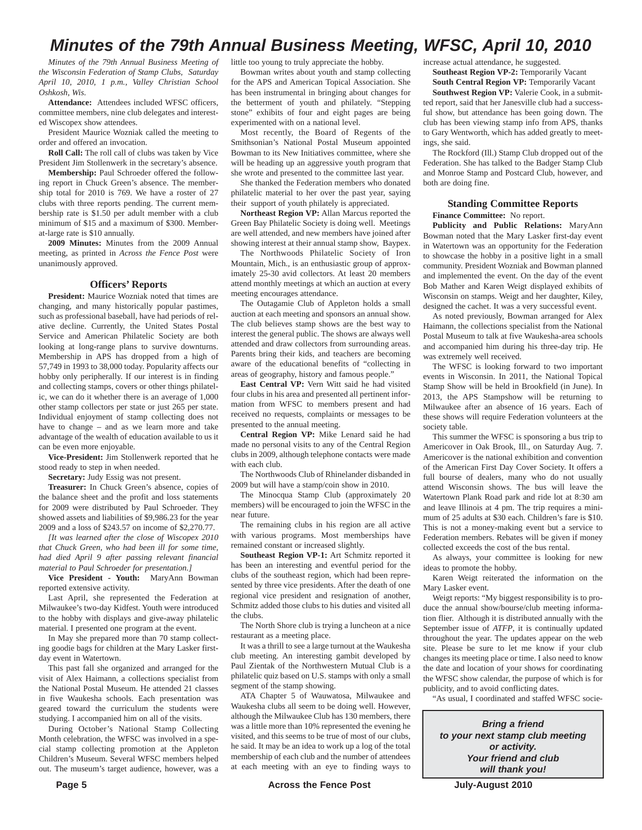## *Minutes of the 79th Annual Business Meeting, WFSC, April 10, 2010*

*Minutes of the 79th Annual Business Meeting of the Wisconsin Federation of Stamp Clubs, Saturday April 10, 2010, 1 p.m., Valley Christian School Oshkosh, Wis.*

**Attendance:** Attendees included WFSC officers, committee members, nine club delegates and interested Wiscopex show attendees.

President Maurice Wozniak called the meeting to order and offered an invocation.

**Roll Call:** The roll call of clubs was taken by Vice President Jim Stollenwerk in the secretary's absence.

**Membership:** Paul Schroeder offered the following report in Chuck Green's absence. The membership total for 2010 is 769. We have a roster of 27 clubs with three reports pending. The current membership rate is \$1.50 per adult member with a club minimum of \$15 and a maximum of \$300. Memberat-large rate is \$10 annually.

**2009 Minutes:** Minutes from the 2009 Annual meeting, as printed in *Across the Fence Post* were unanimously approved.

#### **Officers' Reports**

**President:** Maurice Wozniak noted that times are changing, and many historically popular pastimes, such as professional baseball, have had periods of relative decline. Currently, the United States Postal Service and American Philatelic Society are both looking at long-range plans to survive downturns. Membership in APS has dropped from a high of 57,749 in 1993 to 38,000 today. Popularity affects our hobby only peripherally. If our interest is in finding and collecting stamps, covers or other things philatelic, we can do it whether there is an average of 1,000 other stamp collectors per state or just 265 per state. Individual enjoyment of stamp collecting does not have to change – and as we learn more and take advantage of the wealth of education available to us it can be even more enjoyable.

**Vice-President:** Jim Stollenwerk reported that he stood ready to step in when needed.

**Secretary:** Judy Essig was not present.

**Treasurer:** In Chuck Green's absence, copies of the balance sheet and the profit and loss statements for 2009 were distributed by Paul Schroeder. They showed assets and liabilities of \$9,986.23 for the year 2009 and a loss of \$243.57 on income of \$2,270.77.

*[It was learned after the close of Wiscopex 2010 that Chuck Green, who had been ill for some time, had died April 9 after passing relevant financial material to Paul Schroeder for presentation.]* 

**Vice President - Youth:** MaryAnn Bowman reported extensive activity.

Last April, she represented the Federation at Milwaukee's two-day Kidfest. Youth were introduced to the hobby with displays and give-away philatelic material. I presented one program at the event.

In May she prepared more than 70 stamp collecting goodie bags for children at the Mary Lasker firstday event in Watertown.

This past fall she organized and arranged for the visit of Alex Haimann, a collections specialist from the National Postal Museum. He attended 21 classes in five Waukesha schools. Each presentation was geared toward the curriculum the students were studying. I accompanied him on all of the visits.

During October's National Stamp Collecting Month celebration, the WFSC was involved in a special stamp collecting promotion at the Appleton Children's Museum. Several WFSC members helped out. The museum's target audience, however, was a

little too young to truly appreciate the hobby.

Bowman writes about youth and stamp collecting for the APS and American Topical Association. She has been instrumental in bringing about changes for the betterment of youth and philately. "Stepping stone" exhibits of four and eight pages are being experimented with on a national level.

Most recently, the Board of Regents of the Smithsonian's National Postal Museum appointed Bowman to its New Initiatives committee, where she will be heading up an aggressive youth program that she wrote and presented to the committee last year.

She thanked the Federation members who donated philatelic material to her over the past year, saying their support of youth philately is appreciated.

**Northeast Region VP:** Allan Marcus reported the Green Bay Philatelic Society is doing well. Meetings are well attended, and new members have joined after showing interest at their annual stamp show, Baypex.

The Northwoods Philatelic Society of Iron Mountain, Mich., is an enthusiastic group of approximately 25-30 avid collectors. At least 20 members attend monthly meetings at which an auction at every meeting encourages attendance.

The Outagamie Club of Appleton holds a small auction at each meeting and sponsors an annual show. The club believes stamp shows are the best way to interest the general public. The shows are always well attended and draw collectors from surrounding areas. Parents bring their kids, and teachers are becoming aware of the educational benefits of "collecting in areas of geography, history and famous people."

**East Central VP:** Vern Witt said he had visited four clubs in his area and presented all pertinent information from WFSC to members present and had received no requests, complaints or messages to be presented to the annual meeting.

**Central Region VP:** Mike Lenard said he had made no personal visits to any of the Central Region clubs in 2009, although telephone contacts were made with each club.

The Northwoods Club of Rhinelander disbanded in 2009 but will have a stamp/coin show in 2010.

The Minocqua Stamp Club (approximately 20 members) will be encouraged to join the WFSC in the near future.

The remaining clubs in his region are all active with various programs. Most memberships have remained constant or increased slightly.

**Southeast Region VP-1:** Art Schmitz reported it has been an interesting and eventful period for the clubs of the southeast region, which had been represented by three vice presidents. After the death of one regional vice president and resignation of another, Schmitz added those clubs to his duties and visited all the clubs.

The North Shore club is trying a luncheon at a nice restaurant as a meeting place.

It was a thrill to see a large turnout at the Waukesha club meeting. An interesting gambit developed by Paul Zientak of the Northwestern Mutual Club is a philatelic quiz based on U.S. stamps with only a small segment of the stamp showing.

ATA Chapter 5 of Wauwatosa, Milwaukee and Waukesha clubs all seem to be doing well. However, although the Milwaukee Club has 130 members, there was a little more than 10% represented the evening he visited, and this seems to be true of most of our clubs, he said. It may be an idea to work up a log of the total membership of each club and the number of attendees at each meeting with an eye to finding ways to

**Page 5** Across the Fence Post July-August 2010

increase actual attendance, he suggested. **Southeast Region VP-2:** Temporarily Vacant **South Central Region VP:** Temporarily Vacant

**Southwest Region VP:** Valerie Cook, in a submitted report, said that her Janesville club had a successful show, but attendance has been going down. The club has been viewing stamp info from APS, thanks to Gary Wentworth, which has added greatly to meetings, she said.

The Rockford (Ill.) Stamp Club dropped out of the Federation. She has talked to the Badger Stamp Club and Monroe Stamp and Postcard Club, however, and both are doing fine.

#### **Standing Committee Reports Finance Committee:** No report.

**Publicity and Public Relations:** MaryAnn Bowman noted that the Mary Lasker first-day event in Watertown was an opportunity for the Federation to showcase the hobby in a positive light in a small community. President Wozniak and Bowman planned and implemented the event. On the day of the event Bob Mather and Karen Weigt displayed exhibits of Wisconsin on stamps. Weigt and her daughter, Kiley, designed the cachet. It was a very successful event.

As noted previously, Bowman arranged for Alex Haimann, the collections specialist from the National Postal Museum to talk at five Waukesha-area schools and accompanied him during his three-day trip. He was extremely well received.

The WFSC is looking forward to two important events in Wisconsin. In 2011, the National Topical Stamp Show will be held in Brookfield (in June). In 2013, the APS Stampshow will be returning to Milwaukee after an absence of 16 years. Each of these shows will require Federation volunteers at the society table.

This summer the WFSC is sponsoring a bus trip to Americover in Oak Brook, Ill., on Saturday Aug. 7. Americover is the national exhibition and convention of the American First Day Cover Society. It offers a full bourse of dealers, many who do not usually attend Wisconsin shows. The bus will leave the Watertown Plank Road park and ride lot at 8:30 am and leave Illinois at 4 pm. The trip requires a minimum of 25 adults at \$30 each. Children's fare is \$10. This is not a money-making event but a service to Federation members. Rebates will be given if money collected exceeds the cost of the bus rental.

As always, your committee is looking for new ideas to promote the hobby.

Karen Weigt reiterated the information on the Mary Lasker event.

Weigt reports: "My biggest responsibility is to produce the annual show/bourse/club meeting information flier. Although it is distributed annually with the September issue of *ATFP*, it is continually updated throughout the year. The updates appear on the web site. Please be sure to let me know if your club changes its meeting place or time. I also need to know the date and location of your shows for coordinating the WFSC show calendar, the purpose of which is for publicity, and to avoid conflicting dates.

"As usual, I coordinated and staffed WFSC socie-

*Bring a friend to your next stamp club meeting or activity. Your friend and club will thank you!*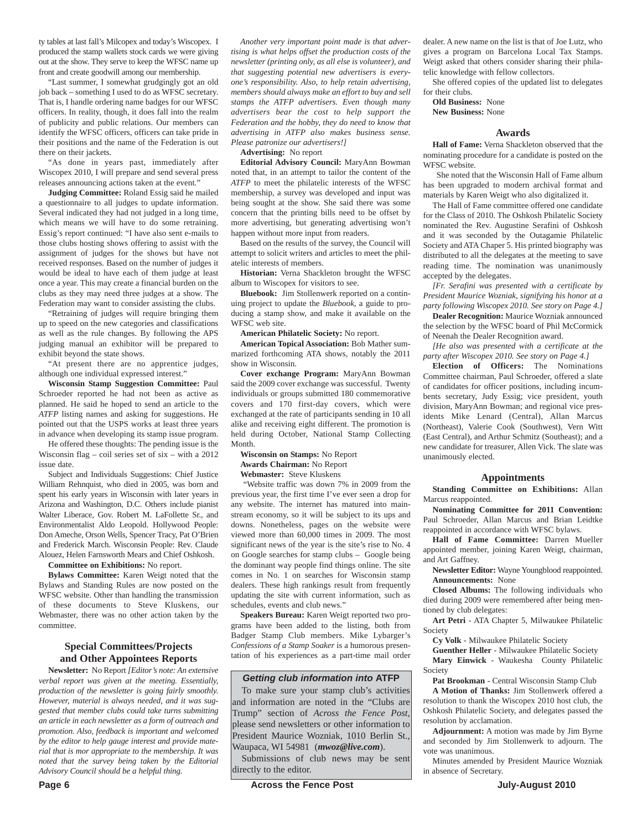ty tables at last fall's Milcopex and today's Wiscopex. I produced the stamp wallets stock cards we were giving out at the show. They serve to keep the WFSC name up front and create goodwill among our membership.

"Last summer, I somewhat grudgingly got an old job back – something I used to do as WFSC secretary. That is, I handle ordering name badges for our WFSC officers. In reality, though, it does fall into the realm of publicity and public relations. Our members can identify the WFSC officers, officers can take pride in their positions and the name of the Federation is out there on their jackets.

"As done in years past, immediately after Wiscopex 2010, I will prepare and send several press releases announcing actions taken at the event."

**Judging Committee:** Roland Essig said he mailed a questionnaire to all judges to update information. Several indicated they had not judged in a long time, which means we will have to do some retraining. Essig's report continued: "I have also sent e-mails to those clubs hosting shows offering to assist with the assignment of judges for the shows but have not received responses. Based on the number of judges it would be ideal to have each of them judge at least once a year. This may create a financial burden on the clubs as they may need three judges at a show. The Federation may want to consider assisting the clubs.

"Retraining of judges will require bringing them up to speed on the new categories and classifications as well as the rule changes. By following the APS judging manual an exhibitor will be prepared to exhibit beyond the state shows.

"At present there are no apprentice judges, although one individual expressed interest."

**Wisconsin Stamp Suggestion Committee:** Paul Schroeder reported he had not been as active as planned. He said he hoped to send an article to the *ATFP* listing names and asking for suggestions. He pointed out that the USPS works at least three years in advance when developing its stamp issue program.

He offered these thoughts: The pending issue is the Wisconsin flag – coil series set of six – with a 2012 issue date.

Subject and Individuals Suggestions: Chief Justice William Rehnquist, who died in 2005, was born and spent his early years in Wisconsin with later years in Arizona and Washington, D.C. Others include pianist Walter Liberace, Gov. Robert M. LaFollette Sr., and Environmentalist Aldo Leopold. Hollywood People: Don Ameche, Orson Wells, Spencer Tracy, Pat O'Brien and Frederick March. Wisconsin People: Rev. Claude Alouez, Helen Farnsworth Mears and Chief Oshkosh.

**Committee on Exhibitions:** No report.

**Bylaws Committee:** Karen Weigt noted that the Bylaws and Standing Rules are now posted on the WFSC website. Other than handling the transmission of these documents to Steve Kluskens, our Webmaster, there was no other action taken by the committee.

#### **Special Committees/Projects and Other Appointees Reports**

**Newsletter:** No Report *[Editor's note: An extensive verbal report was given at the meeting. Essentially, production of the newsletter is going fairly smoothly. However, material is always needed, and it was suggested that member clubs could take turns submitting an article in each newsletter as a form of outreach and promotion. Also, feedback is important and welcomed by the editor to help gauge interest and provide material that is mor appropriate to the membership. It was noted that the survey being taken by the Editorial Advisory Council should be a helpful thing.*

*Another very important point made is that advertising is what helps offset the production costs of the newsletter (printing only, as all else is volunteer), and that suggesting potential new advertisers is everyone's responsibility. Also, to help retain advertising, members should always make an effort to buy and sell stamps the ATFP advertisers. Even though many advertisers bear the cost to help support the Federation and the hobby, they do need to know that advertising in ATFP also makes business sense. Please patronize our advertisers!]* 

**Advertising:** No report

**Editorial Advisory Council:** MaryAnn Bowman noted that, in an attempt to tailor the content of the *ATFP* to meet the philatelic interests of the WFSC membership, a survey was developed and input was being sought at the show. She said there was some concern that the printing bills need to be offset by more advertising, but generating advertising won't happen without more input from readers.

Based on the results of the survey, the Council will attempt to solicit writers and articles to meet the philatelic interests of members.

**Historian:** Verna Shackleton brought the WFSC album to Wiscopex for visitors to see.

**Bluebook:** Jim Stollenwerk reported on a continuing project to update the *Bluebook*, a guide to producing a stamp show, and make it available on the WFSC web site.

**American Philatelic Society:** No report.

**American Topical Association:** Bob Mather summarized forthcoming ATA shows, notably the 2011 show in Wisconsin.

**Cover exchange Program:** MaryAnn Bowman said the 2009 cover exchange was successful. Twenty individuals or groups submitted 180 commemorative covers and 170 first-day covers, which were exchanged at the rate of participants sending in 10 all alike and receiving eight different. The promotion is held during October, National Stamp Collecting Month.

**Wisconsin on Stamps:** No Report **Awards Chairman:** No Report **Webmaster:** Steve Kluskens

"Website traffic was down 7% in 2009 from the previous year, the first time I've ever seen a drop for any website. The internet has matured into mainstream economy, so it will be subject to its ups and downs. Nonetheless, pages on the website were viewed more than 60,000 times in 2009. The most significant news of the year is the site's rise to No. 4 on Google searches for stamp clubs – Google being the dominant way people find things online. The site comes in No. 1 on searches for Wisconsin stamp dealers. These high rankings result from frequently updating the site with current information, such as schedules, events and club news."

**Speakers Bureau:** Karen Weigt reported two programs have been added to the listing, both from Badger Stamp Club members. Mike Lybarger's *Confessions of a Stamp Soaker* is a humorous presentation of his experiences as a part-time mail order

#### *Getting club information into* **ATFP**

To make sure your stamp club's activities and information are noted in the "Clubs are Trump" section of *Across the Fence Post*, please send newsletters or other information to President Maurice Wozniak, 1010 Berlin St., Waupaca, WI 54981 (*mwoz@live.com*).

Submissions of club news may be sent directly to the editor.

dealer. A new name on the list is that of Joe Lutz, who gives a program on Barcelona Local Tax Stamps. Weigt asked that others consider sharing their philatelic knowledge with fellow collectors.

She offered copies of the updated list to delegates for their clubs.

**Old Business:** None

**New Business:** None

#### **Awards**

**Hall of Fame:** Verna Shackleton observed that the nominating procedure for a candidate is posted on the WFSC website.

She noted that the Wisconsin Hall of Fame album has been upgraded to modern archival format and materials by Karen Weigt who also digitalized it.

The Hall of Fame committee offered one candidate for the Class of 2010. The Oshkosh Philatelic Society nominated the Rev. Augustine Serafini of Oshkosh and it was seconded by the Outagamie Philatelic Society and ATA Chaper 5. His printed biography was distributed to all the delegates at the meeting to save reading time. The nomination was unanimously accepted by the delegates.

*[Fr. Serafini was presented with a certificate by President Maurice Wozniak, signifying his honor at a party following Wiscopex 2010. See story on Page 4.]*

**Dealer Recognition:** Maurice Wozniak announced the selection by the WFSC board of Phil McCormick of Neenah the Dealer Recognition award.

*[He also was presented with a certificate at the party after Wiscopex 2010. See story on Page 4.]*

**Election of Officers:** The Nominations Committee chairman, Paul Schroeder, offered a slate of candidates for officer positions, including incumbents secretary, Judy Essig; vice president, youth division, MaryAnn Bowman; and regional vice presidents Mike Lenard (Central), Allan Marcus (Northeast), Valerie Cook (Southwest), Vern Witt (East Central), and Arthur Schmitz (Southeast); and a new candidate for treasurer, Allen Vick. The slate was unanimously elected.

#### **Appointments**

**Standing Committee on Exhibitions:** Allan Marcus reappointed.

**Nominating Committee for 2011 Convention:** Paul Schroeder, Allan Marcus and Brian Leidtke reappointed in accordance with WFSC bylaws.

**Hall of Fame Committee:** Darren Mueller appointed member, joining Karen Weigt, chairman, and Art Gaffney.

**Newsletter Editor:** Wayne Youngblood reappointed. **Announcements:** None

**Closed Albums:** The following individuals who died during 2009 were remembered after being mentioned by club delegates:

**Art Petri** - ATA Chapter 5, Milwaukee Philatelic Society

**Cy Volk** - Milwaukee Philatelic Society

**Guenther Heller** - Milwaukee Philatelic Society **Mary Einwick** - Waukesha County Philatelic Society

**Pat Brookman** - Central Wisconsin Stamp Club

**A Motion of Thanks:** Jim Stollenwerk offered a resolution to thank the Wiscopex 2010 host club, the Oshkosh Philatelic Society, and delegates passed the resolution by acclamation.

**Adjournment:** A motion was made by Jim Byrne and seconded by Jim Stollenwerk to adjourn. The vote was unanimous.

Minutes amended by President Maurice Wozniak in absence of Secretary.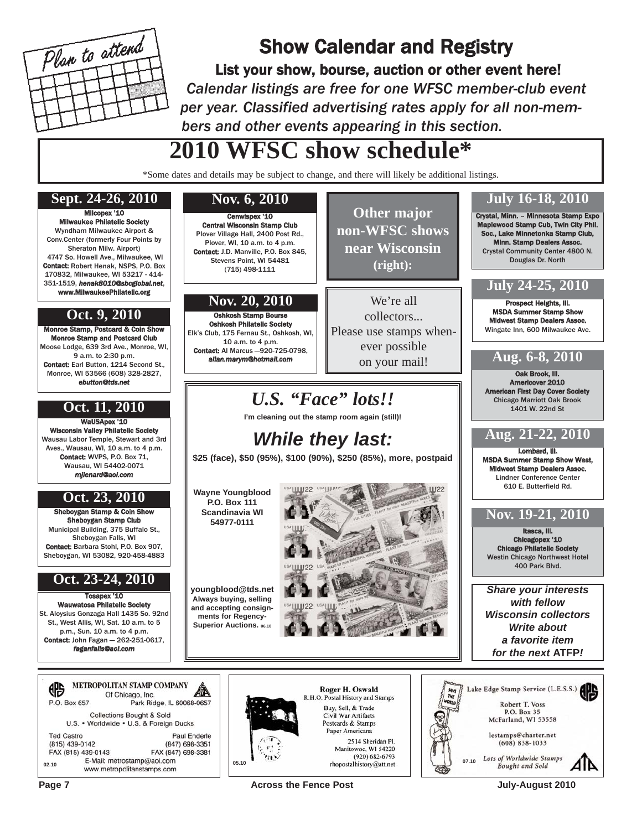

## Show Calendar and Registry

List your show, bourse, auction or other event here! *Calendar listings are free for one WFSC member-club event per year. Classified advertising rates apply for all non-members and other events appearing in this section.*

## **2010 WFSC show schedule\***

\*Some dates and details may be subject to change, and there will likely be additional listings.

## **Sept. 24-26, 2010 Nov. 6, 2010 July 16-18, 2010**

Milcopex '10 Milwaukee Philatelic Society Wyndham Milwaukee Airport & Conv.Center (formerly Four Points by Sheraton Milw. Airport) 4747 So. Howell Ave., Milwaukee, WI Contact: Robert Henak, NSPS, P.O. Box 170832, Milwaukee, WI 53217 - 414- 351-1519, *henak8010@sbcglobal.net*, www.MilwaukeePhilatelic.org

### **Oct. 9, 2010**

Monroe Stamp, Postcard & Coin Show Monroe Stamp and Postcard Club Moose Lodge, 639 3rd Ave., Monroe, WI, 9 a.m. to 2:30 p.m. Contact: Earl Button, 1214 Second St., Monroe, WI 53566 (608) 328-2827, *ebutton@tds.net*

## **Oct. 11, 2010**

WaUSApex '10 Wisconsin Valley Philatelic Society Wausau Labor Temple, Stewart and 3rd Aves., Wausau, WI, 10 a.m. to 4 p.m. Contact: WVPS, P.O. Box 71, Wausau, WI 54402-0071 *mjlenard@aol.com*

### **Oct. 23, 2010**

Sheboygan Stamp & Coin Show Sheboygan Stamp Club Municipal Building, 375 Buffalo St., Sheboygan Falls, WI Contact: Barbara Stohl, P.O. Box 907, Sheboygan, WI 53082, 920-458-4883

### **Oct. 23-24, 2010**

Tosapex '10 Wauwatosa Philatelic Society St. Aloysius Gonzaga Hall 1435 So. 92nd St., West Allis, WI, Sat. 10 a.m. to 5 p.m., Sun. 10 a.m. to 4 p.m. Contact: John Fagan — 262-251-0617, *faganfalls@aol.com*

Cenwispex '10 Central Wisconsin Stamp Club Plover Village Hall, 2400 Post Rd., Plover, WI, 10 a.m. to 4 p.m. Contact: J.D. Manville, P.O. Box 845, Stevens Point, WI 54481 (715) 498-1111

### **Nov. 20, 2010**

Oshkosh Stamp Bourse Oshkosh Philatelic Society Elk's Club, 175 Fernau St., Oshkosh, WI, 10 a.m. to 4 p.m. Contact: Al Marcus —920-725-0798, *allan.marym@hotmail.com*

## **non-WFSC shows near Wisconsin (right):**

**Other major**

We're all collectors... Please use stamps whenever possible on your mail!

 $1122$ 

## *U.S. "Face" lots!!*

**I'm cleaning out the stamp room again (still)!**

## *While they last:*

**\$25 (face), \$50 (95%), \$100 (90%), \$250 (85%), more, postpaid**

54||1122 USA||177

**Wayne Youngblood P.O. Box 111 Scandinavia WI 54977-0111**



#### **youngblood@tds.net Always buying, selling and accepting consignments for Regency-Superior Auctions. 06.10**



Roger H. Oswald R.H.O. Postal History and Stamps Buy, Sell, & Trade Civil War Artifacts Postcards & Stamps Paper Americana 2514 Sheridan Pl.

**Page 7** Across the Fence Post **Across the Fence Post July-August 2010** 

Crystal, Minn. – Minnesota Stamp Expo wood Stamp Cub, Twin City Phil. Soc., Lake Minnetonka Stamp Club, Minn. Stamp Dealers Assoc. Crystal Community Center 4800 N. Douglas Dr. North

### **July 24-25, 2010**

Prospect Heights, Ill. MSDA Summer Stamp Show Midwest Stamp Dealers Assoc. Wingate Inn, 600 Milwaukee Ave.

## **Aug. 6-8, 2010**

Oak Brook, Ill. Americover 2010 American First Day Cover Society Chicago Marriott Oak Brook 1401 W. 22nd St

## **Aug. 21-22, 2010**

Lombard, Ill. MSDA Summer Stamp Show West, Midwest Stamp Dealers Assoc. Lindner Conference Center 610 E. Butterfield Rd.

### **Nov. 19-21, 2010**

Itasca, Ill. Chicagopex '10 Chicago Philatelic Society Westin Chicago Northwest Hotel 400 Park Blvd.

*Share your interests with fellow Wisconsin collectors Write about a favorite item for the next* **ATFP***!*